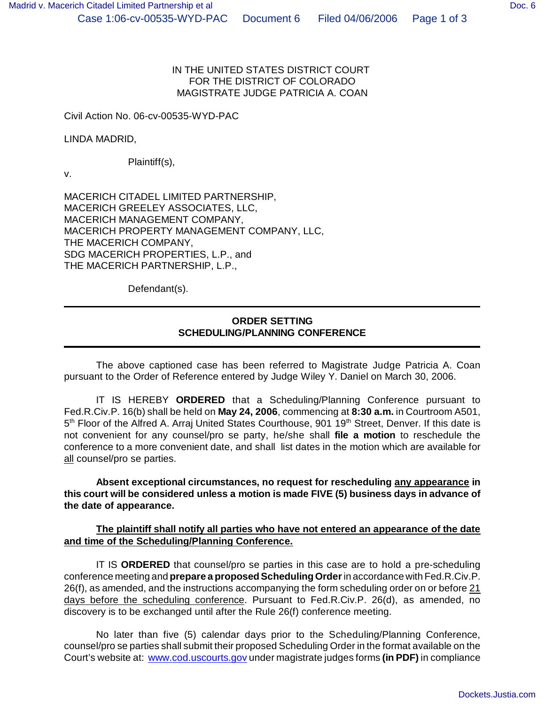## IN THE UNITED STATES DISTRICT COURT FOR THE DISTRICT OF COLORADO MAGISTRATE JUDGE PATRICIA A. COAN

Civil Action No. 06-cv-00535-WYD-PAC

LINDA MADRID,

Plaintiff(s),

v.

MACERICH CITADEL LIMITED PARTNERSHIP, MACERICH GREELEY ASSOCIATES, LLC, MACERICH MANAGEMENT COMPANY, MACERICH PROPERTY MANAGEMENT COMPANY, LLC, THE MACERICH COMPANY, SDG MACERICH PROPERTIES, L.P., and THE MACERICH PARTNERSHIP, L.P.,

Defendant(s).

## **ORDER SETTING SCHEDULING/PLANNING CONFERENCE**

The above captioned case has been referred to Magistrate Judge Patricia A. Coan pursuant to the Order of Reference entered by Judge Wiley Y. Daniel on March 30, 2006.

IT IS HEREBY **ORDERED** that a Scheduling/Planning Conference pursuant to Fed.R.Civ.P. 16(b) shall be held on **May 24, 2006**, commencing at **8:30 a.m.** in Courtroom A501, 5<sup>th</sup> Floor of the Alfred A. Arraj United States Courthouse, 901 19<sup>th</sup> Street, Denver. If this date is not convenient for any counsel/pro se party, he/she shall **file a motion** to reschedule the conference to a more convenient date, and shall list dates in the motion which are available for all counsel/pro se parties.

**Absent exceptional circumstances, no request for rescheduling any appearance in this court will be considered unless a motion is made FIVE (5) business days in advance of the date of appearance.**

## **The plaintiff shall notify all parties who have not entered an appearance of the date and time of the Scheduling/Planning Conference.**

IT IS **ORDERED** that counsel/pro se parties in this case are to hold a pre-scheduling conference meeting and **prepare a proposed Scheduling Order** in accordance with Fed.R.Civ.P. 26(f), as amended, and the instructions accompanying the form scheduling order on or before 21 days before the scheduling conference. Pursuant to Fed.R.Civ.P. 26(d), as amended, no discovery is to be exchanged until after the Rule 26(f) conference meeting.

No later than five (5) calendar days prior to the Scheduling/Planning Conference, counsel/pro se parties shall submit their proposed Scheduling Order in the format available on the Court's website at: www.cod.uscourts.gov under magistrate judges forms **(in PDF)** in compliance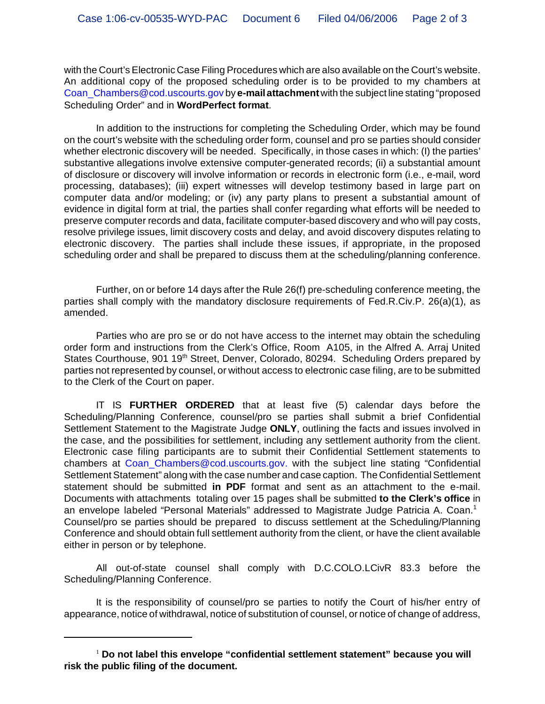with the Court's Electronic Case Filing Procedures which are also available on the Court's website. An additional copy of the proposed scheduling order is to be provided to my chambers at Coan\_Chambers@cod.uscourts.gov by **e-mail attachment** with the subject line stating "proposed Scheduling Order" and in **WordPerfect format**.

In addition to the instructions for completing the Scheduling Order, which may be found on the court's website with the scheduling order form, counsel and pro se parties should consider whether electronic discovery will be needed. Specifically, in those cases in which: (I) the parties' substantive allegations involve extensive computer-generated records; (ii) a substantial amount of disclosure or discovery will involve information or records in electronic form (i.e., e-mail, word processing, databases); (iii) expert witnesses will develop testimony based in large part on computer data and/or modeling; or (iv) any party plans to present a substantial amount of evidence in digital form at trial, the parties shall confer regarding what efforts will be needed to preserve computer records and data, facilitate computer-based discovery and who will pay costs, resolve privilege issues, limit discovery costs and delay, and avoid discovery disputes relating to electronic discovery. The parties shall include these issues, if appropriate, in the proposed scheduling order and shall be prepared to discuss them at the scheduling/planning conference.

Further, on or before 14 days after the Rule 26(f) pre-scheduling conference meeting, the parties shall comply with the mandatory disclosure requirements of Fed.R.Civ.P. 26(a)(1), as amended.

Parties who are pro se or do not have access to the internet may obtain the scheduling order form and instructions from the Clerk's Office, Room A105, in the Alfred A. Arraj United States Courthouse, 901 19<sup>th</sup> Street, Denver, Colorado, 80294. Scheduling Orders prepared by parties not represented by counsel, or without access to electronic case filing, are to be submitted to the Clerk of the Court on paper.

IT IS **FURTHER ORDERED** that at least five (5) calendar days before the Scheduling/Planning Conference, counsel/pro se parties shall submit a brief Confidential Settlement Statement to the Magistrate Judge **ONLY**, outlining the facts and issues involved in the case, and the possibilities for settlement, including any settlement authority from the client. Electronic case filing participants are to submit their Confidential Settlement statements to chambers at Coan\_Chambers@cod.uscourts.gov. with the subject line stating "Confidential Settlement Statement" along with the case number and case caption. The Confidential Settlement statement should be submitted **in PDF** format and sent as an attachment to the e-mail. Documents with attachments totaling over 15 pages shall be submitted **to the Clerk's office** in an envelope labeled "Personal Materials" addressed to Magistrate Judge Patricia A. Coan.<sup>1</sup> Counsel/pro se parties should be prepared to discuss settlement at the Scheduling/Planning Conference and should obtain full settlement authority from the client, or have the client available either in person or by telephone.

All out-of-state counsel shall comply with D.C.COLO.LCivR 83.3 before the Scheduling/Planning Conference.

It is the responsibility of counsel/pro se parties to notify the Court of his/her entry of appearance, notice of withdrawal, notice of substitution of counsel, or notice of change of address,

<sup>&</sup>lt;sup>1</sup> Do not label this envelope "confidential settlement statement" because you will **risk the public filing of the document.**